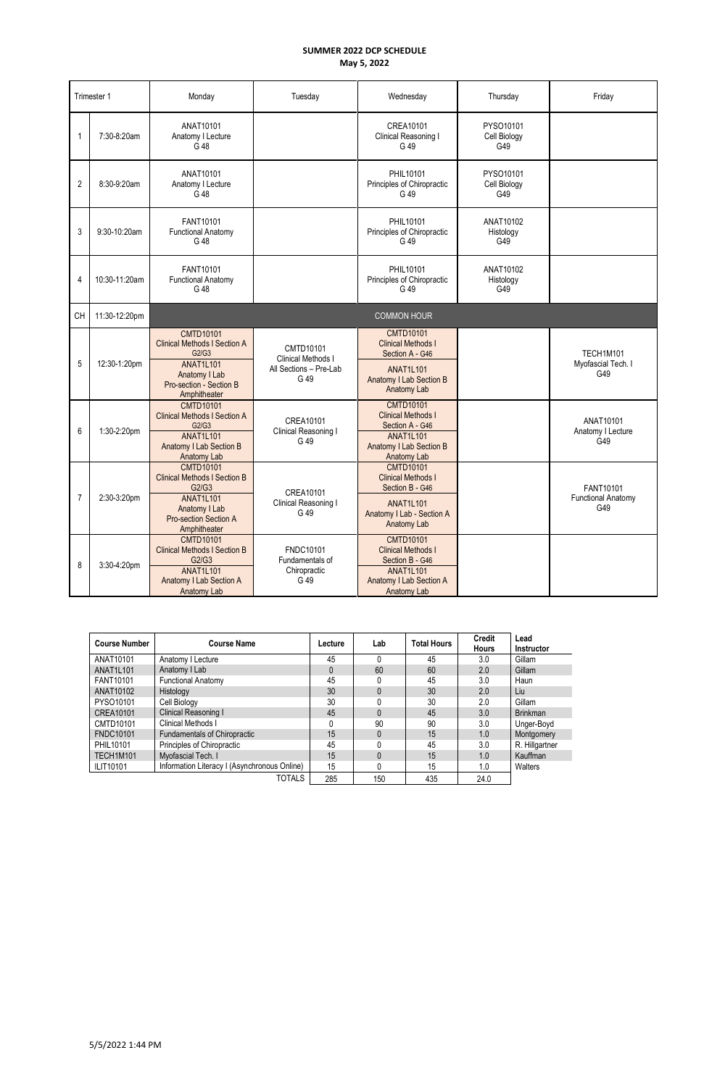|                | Trimester 1   | Monday                                                                                                                                                | Tuesday                                                           | Wednesday                                                                                                                        | Thursday                         | Friday                                        |
|----------------|---------------|-------------------------------------------------------------------------------------------------------------------------------------------------------|-------------------------------------------------------------------|----------------------------------------------------------------------------------------------------------------------------------|----------------------------------|-----------------------------------------------|
| 1              | 7:30-8:20am   | ANAT10101<br>Anatomy I Lecture<br>G 48                                                                                                                |                                                                   | CREA10101<br>Clinical Reasoning I<br>G 49                                                                                        | PYSO10101<br>Cell Biology<br>G49 |                                               |
| $\overline{2}$ | 8:30-9:20am   | ANAT10101<br>Anatomy I Lecture<br>G 48                                                                                                                |                                                                   | PHIL10101<br>Principles of Chiropractic<br>G 49                                                                                  | PYSO10101<br>Cell Biology<br>G49 |                                               |
| 3              | 9:30-10:20am  | FANT10101<br><b>Functional Anatomy</b><br>G 48                                                                                                        |                                                                   | PHIL10101<br>Principles of Chiropractic<br>G 49                                                                                  | ANAT10102<br>Histology<br>G49    |                                               |
| 4              | 10:30-11:20am | FANT10101<br><b>Functional Anatomy</b><br>G 48                                                                                                        |                                                                   | PHIL10101<br>Principles of Chiropractic<br>G 49                                                                                  | ANAT10102<br>Histology<br>G49    |                                               |
| CH             | 11:30-12:20pm |                                                                                                                                                       |                                                                   | <b>COMMON HOUR</b>                                                                                                               |                                  |                                               |
| 5              | 12:30-1:20pm  | <b>CMTD10101</b><br><b>Clinical Methods I Section A</b><br>G2/G3<br><b>ANAT1L101</b><br>Anatomy I Lab<br>Pro-section - Section B<br>Amphitheater      | CMTD10101<br>Clinical Methods I<br>All Sections - Pre-Lab<br>G 49 | <b>CMTD10101</b><br><b>Clinical Methods I</b><br>Section A - G46<br><b>ANAT1L101</b><br>Anatomy I Lab Section B<br>Anatomy Lab   |                                  | TECH1M101<br>Myofascial Tech. I<br>G49        |
| 6              | 1:30-2:20pm   | <b>CMTD10101</b><br><b>Clinical Methods I Section A</b><br>G2/G3<br><b>ANAT1L101</b><br><b>Anatomy I Lab Section B</b><br>Anatomy Lab                 | CREA10101<br>Clinical Reasoning I<br>G 49                         | <b>CMTD10101</b><br><b>Clinical Methods I</b><br>Section A - G46<br><b>ANAT1L101</b><br>Anatomy I Lab Section B<br>Anatomy Lab   |                                  | ANAT10101<br>Anatomy I Lecture<br>G49         |
| 7              | 2:30-3:20pm   | <b>CMTD10101</b><br><b>Clinical Methods I Section B</b><br>G2/G3<br><b>ANAT1L101</b><br>Anatomy I Lab<br><b>Pro-section Section A</b><br>Amphitheater | CREA10101<br>Clinical Reasoning I<br>G 49                         | <b>CMTD10101</b><br><b>Clinical Methods I</b><br>Section B - G46<br><b>ANAT1L101</b><br>Anatomy I Lab - Section A<br>Anatomy Lab |                                  | FANT10101<br><b>Functional Anatomy</b><br>G49 |
| 8              | 3:30-4:20pm   | <b>CMTD10101</b><br><b>Clinical Methods I Section B</b><br>G2/G3<br><b>ANAT1L101</b><br>Anatomy I Lab Section A<br>Anatomy Lab                        | <b>FNDC10101</b><br>Fundamentals of<br>Chiropractic<br>G 49       | <b>CMTD10101</b><br><b>Clinical Methods I</b><br>Section B - G46<br><b>ANAT1L101</b><br>Anatomy I Lab Section A<br>Anatomy Lab   |                                  |                                               |

| <b>Course Number</b> | <b>Course Name</b>                           | Lecture | Lab | <b>Total Hours</b> | <b>Credit</b><br><b>Hours</b> | Lead<br><b>Instructor</b> |
|----------------------|----------------------------------------------|---------|-----|--------------------|-------------------------------|---------------------------|
| ANAT10101            | Anatomy I Lecture                            | 45      |     | 45                 | 3.0                           | Gillam                    |
| ANAT1L101            | Anatomy I Lab                                | 0       | 60  | 60                 | 2.0                           | Gillam                    |
| FANT10101            | <b>Functional Anatomy</b>                    | 45      |     | 45                 | 3.0                           | Haun                      |
| ANAT10102            | Histology                                    | 30      |     | 30                 | 2.0                           | Liu                       |
| PYSO10101            | Cell Biology                                 | 30      |     | 30                 | 2.0                           | Gillam                    |
| <b>CREA10101</b>     | Clinical Reasoning I                         | 45      |     | 45                 | 3.0                           | <b>Brinkman</b>           |
| CMTD10101            | Clinical Methods I                           | 0       | 90  | 90                 | 3.0                           | Unger-Boyd                |
| <b>FNDC10101</b>     | Fundamentals of Chiropractic                 | 15      |     | 15                 | 1.0                           | Montgomery                |
| PHIL10101            | Principles of Chiropractic                   | 45      |     | 45                 | 3.0                           | R. Hillgartner            |
| TECH1M101            | Myofascial Tech. I                           | 15      |     | 15                 | 1.0                           | Kauffman                  |
| <b>ILIT10101</b>     | Information Literacy I (Asynchronous Online) | 15      |     | 15                 | 1.0                           | Walters                   |
|                      | <b>TOTALS</b>                                | 285     | 150 | 435                | 24.0                          |                           |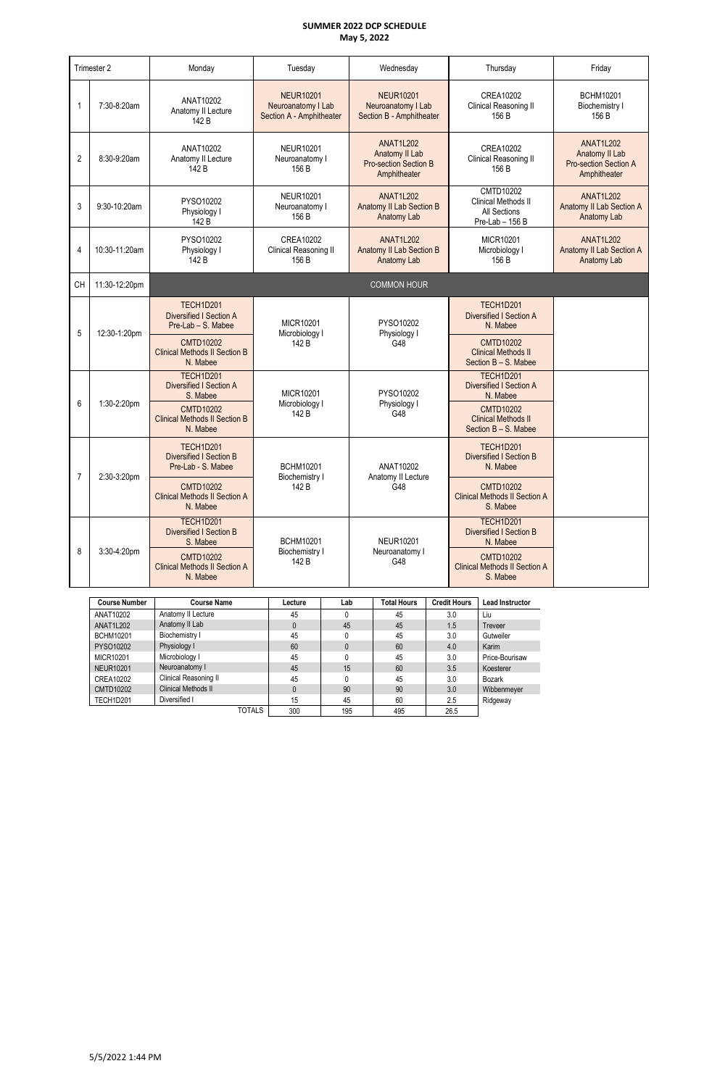|                | Trimester 2          | Monday                                                                   | Tuesday                                                            |     | Wednesday                                                                          |                     | Thursday                                                               | Friday                                                                             |
|----------------|----------------------|--------------------------------------------------------------------------|--------------------------------------------------------------------|-----|------------------------------------------------------------------------------------|---------------------|------------------------------------------------------------------------|------------------------------------------------------------------------------------|
|                | 7:30-8:20am          | ANAT10202<br>Anatomy II Lecture<br>142 B                                 | <b>NEUR10201</b><br>Neuroanatomy I Lab<br>Section A - Amphitheater |     | <b>NEUR10201</b><br>Neuroanatomy I Lab<br>Section B - Amphitheater                 |                     | CREA10202<br>Clinical Reasoning II<br>156 B                            | <b>BCHM10201</b><br><b>Biochemistry I</b><br>156 B                                 |
| $\overline{2}$ | 8:30-9:20am          | ANAT10202<br>Anatomy II Lecture<br>142 B                                 | <b>NEUR10201</b><br>Neuroanatomy I<br>156 B                        |     | <b>ANAT1L202</b><br>Anatomy II Lab<br><b>Pro-section Section B</b><br>Amphitheater |                     | CREA10202<br>Clinical Reasoning II<br>156 B                            | <b>ANAT1L202</b><br>Anatomy II Lab<br><b>Pro-section Section A</b><br>Amphitheater |
| 3              | 9:30-10:20am         | PYSO10202<br>Physiology I<br>142 B                                       | <b>NEUR10201</b><br>Neuroanatomy I<br>156 B                        |     | <b>ANAT1L202</b><br><b>Anatomy II Lab Section B</b><br>Anatomy Lab                 |                     | CMTD10202<br>Clinical Methods II<br>All Sections<br>Pre-Lab - 156 B    | <b>ANAT1L202</b><br>Anatomy II Lab Section A<br>Anatomy Lab                        |
| $\overline{4}$ | 10:30-11:20am        | PYSO10202<br>Physiology I<br>142 B                                       | <b>CREA10202</b><br>Clinical Reasoning II<br>156 B                 |     | <b>ANAT1L202</b><br><b>Anatomy II Lab Section B</b><br>Anatomy Lab                 |                     | MICR10201<br>Microbiology I<br>156 B                                   | <b>ANAT1L202</b><br><b>Anatomy II Lab Section A</b><br>Anatomy Lab                 |
| <b>CH</b>      | 11:30-12:20pm        |                                                                          |                                                                    |     | <b>COMMON HOUR</b>                                                                 |                     |                                                                        |                                                                                    |
| 5              | 12:30-1:20pm         | <b>TECH1D201</b><br><b>Diversified I Section A</b><br>Pre-Lab - S. Mabee | <b>MICR10201</b><br>Microbiology I                                 |     | PYSO10202<br>Physiology I                                                          |                     | <b>TECH1D201</b><br><b>Diversified I Section A</b><br>N. Mabee         |                                                                                    |
|                |                      | <b>CMTD10202</b><br><b>Clinical Methods II Section B</b><br>N. Mabee     | 142 B                                                              |     | G48                                                                                |                     | <b>CMTD10202</b><br><b>Clinical Methods II</b><br>Section B - S. Mabee |                                                                                    |
| 6              | 1:30-2:20pm          | TECH1D201<br>Diversified I Section A<br>S. Mabee                         | <b>MICR10201</b><br>Microbiology I                                 |     | PYSO10202<br>Physiology I                                                          |                     | <b>TECH1D201</b><br><b>Diversified I Section A</b><br>N. Mabee         |                                                                                    |
|                |                      | <b>CMTD10202</b><br><b>Clinical Methods II Section B</b><br>N. Mabee     | 142 B                                                              |     | G48                                                                                |                     | <b>CMTD10202</b><br><b>Clinical Methods II</b><br>Section B - S. Mabee |                                                                                    |
| $\overline{7}$ | 2:30-3:20pm          | <b>TECH1D201</b><br><b>Diversified I Section B</b><br>Pre-Lab - S. Mabee | <b>BCHM10201</b><br>Biochemistry I                                 |     | ANAT10202<br>Anatomy II Lecture                                                    |                     | <b>TECH1D201</b><br><b>Diversified I Section B</b><br>N. Mabee         |                                                                                    |
|                |                      | <b>CMTD10202</b><br><b>Clinical Methods II Section A</b><br>N. Mabee     | 142 B                                                              |     | G48                                                                                |                     | <b>CMTD10202</b><br><b>Clinical Methods II Section A</b><br>S. Mabee   |                                                                                    |
|                |                      | TECH1D201<br><b>Diversified I Section B</b><br>S. Mabee                  | <b>BCHM10201</b>                                                   |     | <b>NEUR10201</b>                                                                   |                     | TECH1D201<br><b>Diversified I Section B</b><br>N. Mabee                |                                                                                    |
| 8              | 3:30-4:20pm          | <b>CMTD10202</b><br><b>Clinical Methods II Section A</b><br>N. Mabee     | Biochemistry I<br>142 B                                            |     | Neuroanatomy I<br>G48                                                              |                     | <b>CMTD10202</b><br><b>Clinical Methods II Section A</b><br>S. Mabee   |                                                                                    |
|                | <b>Course Number</b> | <b>Course Name</b>                                                       | Lecture                                                            | Lab | <b>Total Hours</b>                                                                 | <b>Credit Hours</b> | Lead Instructor                                                        |                                                                                    |

| <b>Course Number</b> | <b>Course Name</b>         | Lecture      | Lab | i otal Hours | <b>Credit Hours</b> | <b>Lead Instructor</b> |
|----------------------|----------------------------|--------------|-----|--------------|---------------------|------------------------|
| ANAT10202            | Anatomy II Lecture         | 45           | 0   | 45           | 3.0                 | Liu                    |
| ANAT1L202            | Anatomy II Lab             | $\mathbf{0}$ | 45  | 45           | 1.5                 | <b>Treveer</b>         |
| <b>BCHM10201</b>     | Biochemistry I             | 45           |     | 45           | 3.0                 | Gutweiler              |
| PYSO10202            | Physiology I               | 60           | 0   | 60           | 4.0                 | Karim                  |
| MICR10201            | Microbiology I             | 45           |     | 45           | 3.0                 | Price-Bourisaw         |
| <b>NEUR10201</b>     | Neuroanatomy I             | 45           | 15  | 60           | 3.5                 | Koesterer              |
| CREA10202            | Clinical Reasoning II      | 45           | 0   | 45           | 3.0                 | Bozark                 |
| CMTD10202            | <b>Clinical Methods II</b> | $\Omega$     | 90  | 90           | 3.0                 | Wibbenmeyer            |
| TECH1D201            | Diversified I              | 15           | 45  | 60           | 2.5                 | Ridgeway               |
|                      | <b>TOTALS</b>              | 300          | 195 | 495          | 26.5                |                        |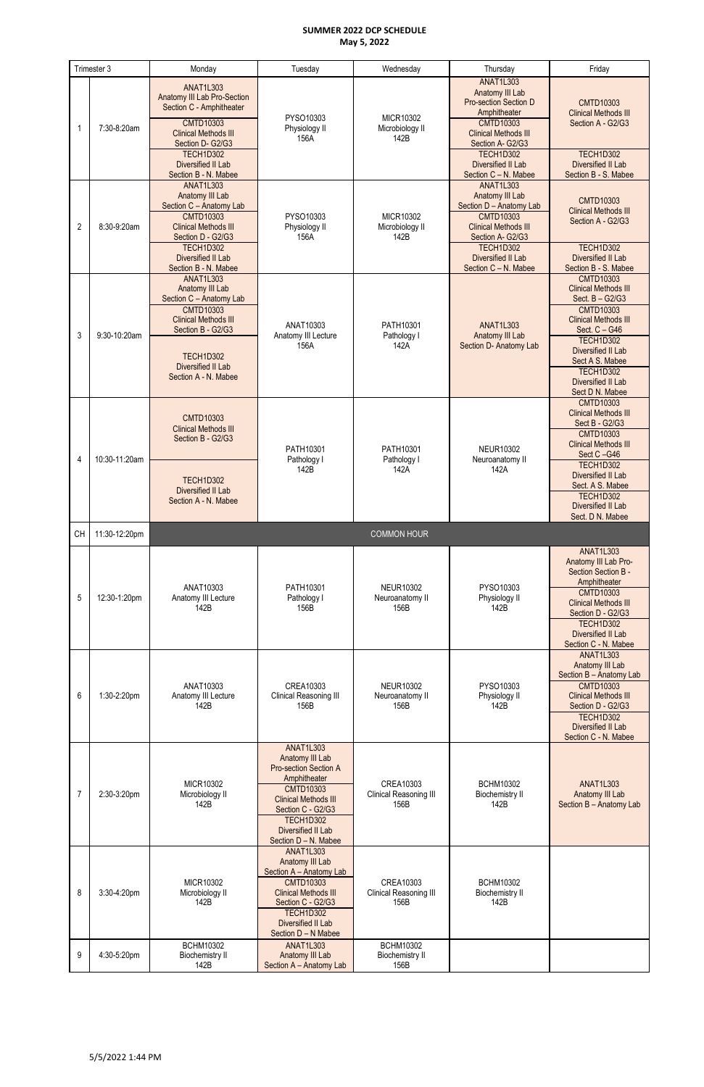|                | Trimester 3                   | Monday                                                                                                                                                                                                                         | Tuesday                                                                                                                                                                                                                       | Wednesday                                                         | Thursday                                                                                                                                                                                                               | Friday                                                                                                                                                                                                                                                                            |
|----------------|-------------------------------|--------------------------------------------------------------------------------------------------------------------------------------------------------------------------------------------------------------------------------|-------------------------------------------------------------------------------------------------------------------------------------------------------------------------------------------------------------------------------|-------------------------------------------------------------------|------------------------------------------------------------------------------------------------------------------------------------------------------------------------------------------------------------------------|-----------------------------------------------------------------------------------------------------------------------------------------------------------------------------------------------------------------------------------------------------------------------------------|
|                | 7:30-8:20am                   | <b>ANAT1L303</b><br>Anatomy III Lab Pro-Section<br>Section C - Amphitheater<br><b>CMTD10303</b><br><b>Clinical Methods III</b><br>Section D- G2/G3<br>TECH1D302                                                                | PYSO10303<br>Physiology II<br>156A                                                                                                                                                                                            | MICR10302<br>Microbiology II<br>142B                              | <b>ANAT1L303</b><br>Anatomy III Lab<br><b>Pro-section Section D</b><br>Amphitheater<br><b>CMTD10303</b><br><b>Clinical Methods III</b><br>Section A- G2/G3<br>TECH1D302                                                | <b>CMTD10303</b><br><b>Clinical Methods III</b><br>Section A - G2/G3<br>TECH1D302                                                                                                                                                                                                 |
| $\overline{2}$ | 8:30-9:20am                   | Diversified II Lab<br>Section B - N. Mabee<br><b>ANAT1L303</b><br>Anatomy III Lab<br>Section C - Anatomy Lab<br><b>CMTD10303</b><br><b>Clinical Methods III</b><br>Section D - G2/G3<br><b>TECH1D302</b><br>Diversified II Lab | PYSO10303<br>Physiology II<br>156A                                                                                                                                                                                            | MICR10302<br>Microbiology II<br>142B                              | Diversified II Lab<br>Section C - N. Mabee<br><b>ANAT1L303</b><br>Anatomy III Lab<br>Section D - Anatomy Lab<br><b>CMTD10303</b><br><b>Clinical Methods III</b><br>Section A- G2/G3<br>TECH1D302<br>Diversified II Lab | <b>Diversified II Lab</b><br>Section B - S. Mabee<br><b>CMTD10303</b><br><b>Clinical Methods III</b><br>Section A - G2/G3<br>TECH1D302<br>Diversified II Lab                                                                                                                      |
| 3              | 9:30-10:20am                  | Section B - N. Mabee<br><b>ANAT1L303</b><br>Anatomy III Lab<br>Section C - Anatomy Lab<br><b>CMTD10303</b><br><b>Clinical Methods III</b><br>Section B - G2/G3<br>TECH1D302<br>Diversified II Lab<br>Section A - N. Mabee      | ANAT10303<br>Anatomy III Lecture<br>156A                                                                                                                                                                                      | PATH10301<br>Pathology I<br>142A                                  | Section C - N. Mabee<br><b>ANAT1L303</b><br>Anatomy III Lab<br>Section D- Anatomy Lab                                                                                                                                  | Section B - S. Mabee<br><b>CMTD10303</b><br><b>Clinical Methods III</b><br>Sect. B - G2/G3<br><b>CMTD10303</b><br><b>Clinical Methods III</b><br>Sect. C - G46<br><b>TECH1D302</b><br>Diversified II Lab<br>Sect A S. Mabee<br>TECH1D302<br>Diversified II Lab<br>Sect D N. Mabee |
| 4              | 10:30-11:20am                 | <b>CMTD10303</b><br><b>Clinical Methods III</b><br>Section B - G2/G3<br><b>TECH1D302</b><br><b>Diversified II Lab</b><br>Section A - N. Mabee                                                                                  | PATH10301<br>Pathology I<br>142B                                                                                                                                                                                              | PATH10301<br>Pathology I<br>142A                                  | <b>NEUR10302</b><br>Neuroanatomy II<br>142A                                                                                                                                                                            | <b>CMTD10303</b><br><b>Clinical Methods III</b><br>Sect B - G2/G3<br><b>CMTD10303</b><br><b>Clinical Methods III</b><br>Sect C-G46<br>TECH1D302<br><b>Diversified II Lab</b><br>Sect. A S. Mabee<br>TECH1D302<br>Diversified II Lab                                               |
|                |                               |                                                                                                                                                                                                                                |                                                                                                                                                                                                                               |                                                                   |                                                                                                                                                                                                                        |                                                                                                                                                                                                                                                                                   |
|                |                               |                                                                                                                                                                                                                                |                                                                                                                                                                                                                               |                                                                   |                                                                                                                                                                                                                        | Sect. D N. Mabee                                                                                                                                                                                                                                                                  |
| CH<br>5        | 11:30-12:20pm<br>12:30-1:20pm | ANAT10303<br>Anatomy III Lecture<br>142B                                                                                                                                                                                       | PATH10301<br>Pathology I<br>156B                                                                                                                                                                                              | <b>COMMON HOUR</b><br><b>NEUR10302</b><br>Neuroanatomy II<br>156B | PYSO10303<br>Physiology II<br>142B                                                                                                                                                                                     | <b>ANAT1L303</b><br>Anatomy III Lab Pro-<br>Section Section B -<br>Amphitheater<br><b>CMTD10303</b><br><b>Clinical Methods III</b><br>Section D - G2/G3<br>TECH1D302<br>Diversified II Lab                                                                                        |
| 6              | 1:30-2:20pm                   | ANAT10303<br>Anatomy III Lecture<br>142B                                                                                                                                                                                       | CREA10303<br>Clinical Reasoning III<br>156B                                                                                                                                                                                   | <b>NEUR10302</b><br>Neuroanatomy II<br>156B                       | PYSO10303<br>Physiology II<br>142B                                                                                                                                                                                     | Section C - N. Mabee<br><b>ANAT1L303</b><br>Anatomy III Lab<br>Section B - Anatomy Lab<br><b>CMTD10303</b><br><b>Clinical Methods III</b><br>Section D - G2/G3<br>TECH1D302<br>Diversified II Lab                                                                                 |
| $\overline{7}$ | 2:30-3:20pm                   | MICR10302<br>Microbiology II<br>142B                                                                                                                                                                                           | <b>ANAT1L303</b><br>Anatomy III Lab<br><b>Pro-section Section A</b><br>Amphitheater<br><b>CMTD10303</b><br><b>Clinical Methods III</b><br>Section C - G2/G3<br>TECH1D302<br><b>Diversified II Lab</b><br>Section D - N. Mabee | CREA10303<br>Clinical Reasoning III<br>156B                       | <b>BCHM10302</b><br><b>Biochemistry II</b><br>142B                                                                                                                                                                     | Section C - N. Mabee<br><b>ANAT1L303</b><br>Anatomy III Lab<br>Section B - Anatomy Lab                                                                                                                                                                                            |
| 8              | 3:30-4:20pm                   | MICR10302<br>Microbiology II<br>142B<br><b>BCHM10302</b>                                                                                                                                                                       | <b>ANAT1L303</b><br>Anatomy III Lab<br>Section A - Anatomy Lab<br><b>CMTD10303</b><br><b>Clinical Methods III</b><br>Section C - G2/G3<br>TECH1D302<br>Diversified II Lab<br>Section D - N Mabee<br><b>ANAT1L303</b>          | CREA10303<br>Clinical Reasoning III<br>156B<br><b>BCHM10302</b>   | <b>BCHM10302</b><br><b>Biochemistry II</b><br>142B                                                                                                                                                                     |                                                                                                                                                                                                                                                                                   |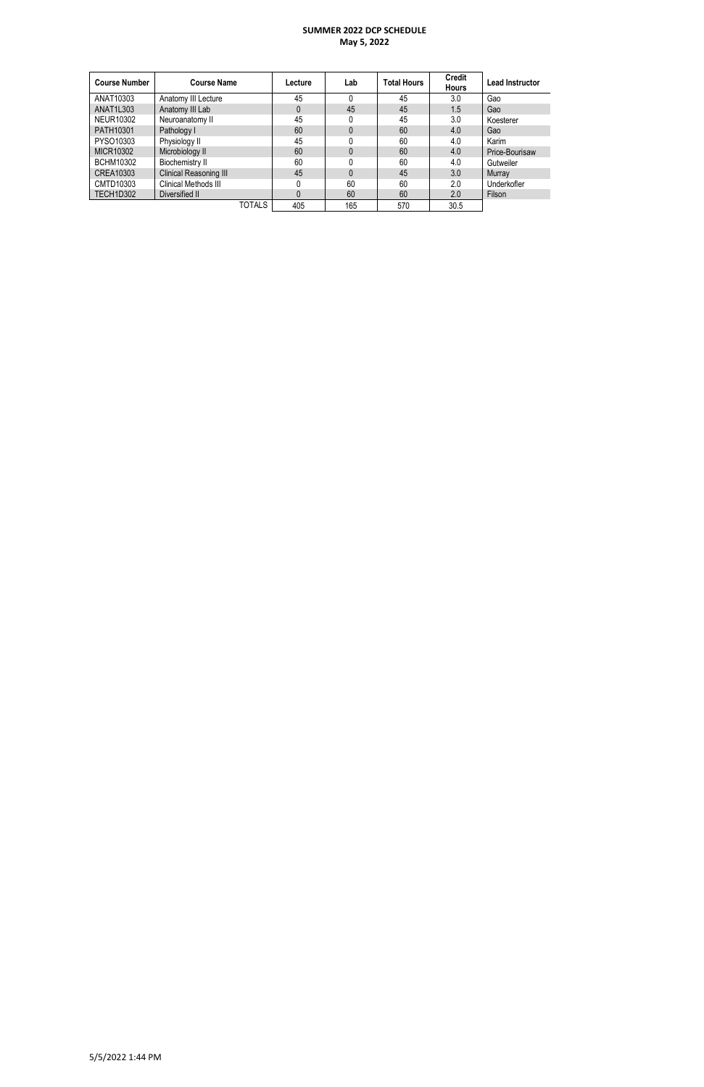| <b>Course Number</b> | <b>Course Name</b>     | Lecture | Lab | <b>Total Hours</b> | <b>Credit</b><br><b>Hours</b> | <b>Lead Instructor</b> |
|----------------------|------------------------|---------|-----|--------------------|-------------------------------|------------------------|
| ANAT10303            | Anatomy III Lecture    | 45      |     | 45                 | 3.0                           | Gao                    |
| ANAT1L303            | Anatomy III Lab        | 0       | 45  | 45                 | 1.5                           | Gao                    |
| <b>NEUR10302</b>     | Neuroanatomy II        | 45      | 0   | 45                 | 3.0                           | Koesterer              |
| PATH10301            | Pathology I            | 60      | 0   | 60                 | 4.0                           | Gao                    |
| PYSO10303            | Physiology II          | 45      |     | 60                 | 4.0                           | Karim                  |
| MICR10302            | Microbiology II        | 60      | 0   | 60                 | 4.0                           | Price-Bourisaw         |
| <b>BCHM10302</b>     | Biochemistry II        | 60      |     | 60                 | 4.0                           | Gutweiler              |
| CREA10303            | Clinical Reasoning III | 45      | 0   | 45                 | 3.0                           | Murray                 |
| CMTD10303            | Clinical Methods III   |         | 60  | 60                 | 2.0                           | Underkofler            |
| TECH1D302            | Diversified II         |         | 60  | 60                 | 2.0                           | Filson                 |
|                      | <b>TOTALS</b>          | 405     | 165 | 570                | 30.5                          |                        |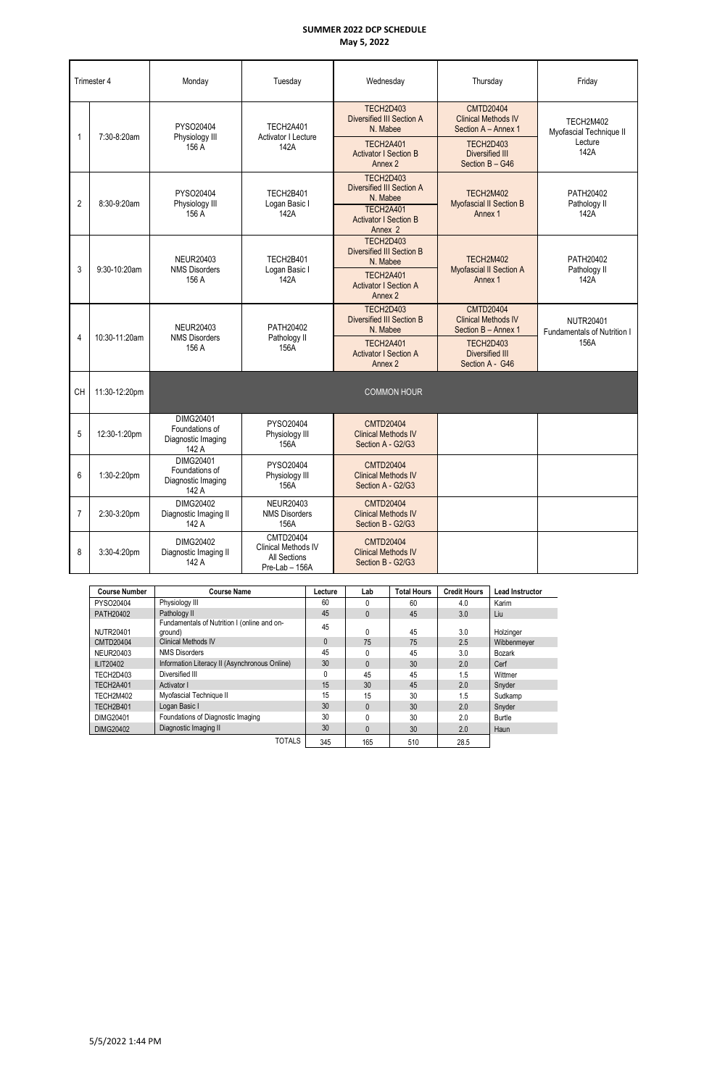|                | Trimester 4   | Monday                                                     | Tuesday                                                                   | Wednesday                                                           | Thursday                                                              | Friday                                          |  |
|----------------|---------------|------------------------------------------------------------|---------------------------------------------------------------------------|---------------------------------------------------------------------|-----------------------------------------------------------------------|-------------------------------------------------|--|
| 1              | 7:30-8:20am   | PYSO20404<br>Physiology III                                | <b>TECH2A401</b><br>Activator I Lecture                                   | TECH2D403<br>Diversified III Section A<br>N. Mabee                  | <b>CMTD20404</b><br><b>Clinical Methods IV</b><br>Section A - Annex 1 | TECH2M402<br>Myofascial Technique II            |  |
|                |               | 156 A                                                      | 142A                                                                      | <b>TECH2A401</b><br><b>Activator I Section B</b><br>Annex 2         | TECH2D403<br>Diversified III<br>Section B - G46                       | Lecture<br>142A                                 |  |
| $\overline{2}$ | 8:30-9:20am   | PYSO20404<br>Physiology III                                | TECH2B401<br>Logan Basic I                                                | TECH2D403<br>Diversified III Section A<br>N. Mabee                  | TECH2M402<br>Myofascial II Section B                                  | PATH20402<br>Pathology II                       |  |
|                |               | 156 A                                                      | 142A                                                                      | TECH2A401<br><b>Activator I Section B</b><br>Annex 2                | Annex 1                                                               | 142A                                            |  |
| 3              | 9:30-10:20am  | <b>NEUR20403</b><br><b>NMS Disorders</b>                   | <b>TECH2B401</b><br>Logan Basic I                                         | TECH2D403<br><b>Diversified III Section B</b><br>N. Mabee           | TECH2M402<br>Myofascial II Section A                                  | PATH20402<br>Pathology II                       |  |
|                |               | 156 A                                                      | 142A                                                                      | TECH2A401<br><b>Activator I Section A</b><br>Annex 2                | Annex 1                                                               | 142A                                            |  |
|                |               | <b>NEUR20403</b>                                           | PATH20402                                                                 | TECH2D403<br><b>Diversified III Section B</b><br>N. Mabee           | <b>CMTD20404</b><br><b>Clinical Methods IV</b><br>Section B - Annex 1 | <b>NUTR20401</b><br>Fundamentals of Nutrition I |  |
| 4              | 10:30-11:20am | <b>NMS Disorders</b><br>156 A                              | Pathology II<br>156A                                                      | <b>TECH2A401</b><br><b>Activator I Section A</b><br>Annex 2         | TECH2D403<br>Diversified III<br>Section A - G46                       | 156A                                            |  |
| CH             | 11:30-12:20pm |                                                            |                                                                           | <b>COMMON HOUR</b>                                                  |                                                                       |                                                 |  |
| 5              | 12:30-1:20pm  | DIMG20401<br>Foundations of<br>Diagnostic Imaging<br>142 A | PYSO20404<br>Physiology III<br>156A                                       | <b>CMTD20404</b><br><b>Clinical Methods IV</b><br>Section A - G2/G3 |                                                                       |                                                 |  |
| 6              | 1:30-2:20pm   | DIMG20401<br>Foundations of<br>Diagnostic Imaging<br>142 A | PYSO20404<br>Physiology III<br>156A                                       | <b>CMTD20404</b><br><b>Clinical Methods IV</b><br>Section A - G2/G3 |                                                                       |                                                 |  |
| $\overline{7}$ | 2:30-3:20pm   | DIMG20402<br>Diagnostic Imaging II<br>142 A                | <b>NEUR20403</b><br><b>NMS Disorders</b><br>156A                          | <b>CMTD20404</b><br><b>Clinical Methods IV</b><br>Section B - G2/G3 |                                                                       |                                                 |  |
| 8              | 3:30-4:20pm   | DIMG20402<br>Diagnostic Imaging II<br>142 A                | <b>CMTD20404</b><br>Clinical Methods IV<br>All Sections<br>Pre-Lab - 156A | <b>CMTD20404</b><br><b>Clinical Methods IV</b><br>Section B - G2/G3 |                                                                       |                                                 |  |

| <b>Course Number</b> | <b>Course Name</b>                                     | Lecture      | Lab          | <b>Total Hours</b> | <b>Credit Hours</b> | <b>Lead Instructor</b> |
|----------------------|--------------------------------------------------------|--------------|--------------|--------------------|---------------------|------------------------|
| PYSO20404            | Physiology III                                         | 60           | 0            | 60                 | 4.0                 | Karim                  |
| PATH20402            | Pathology II                                           | 45           | $\mathbf{0}$ | 45                 | 3.0                 | Liu                    |
| <b>NUTR20401</b>     | Fundamentals of Nutrition I (online and on-<br>ground) | 45           | 0            | 45                 | 3.0                 | Holzinger              |
| <b>CMTD20404</b>     | <b>Clinical Methods IV</b>                             | $\mathbf{0}$ | 75           | 75                 | 2.5                 | Wibbenmeyer            |
| NEUR20403            | <b>NMS Disorders</b>                                   | 45           | 0            | 45                 | 3.0                 | <b>Bozark</b>          |
| ILIT20402            | Information Literacy II (Asynchronous Online)          | 30           | $\mathbf{0}$ | 30 <sup>°</sup>    | 2.0                 | Cerf                   |
| TECH2D403            | Diversified III                                        |              | 45           | 45                 | 1.5                 | Wittmer                |
| TECH2A401            | Activator I                                            | 15           | 30           | 45                 | 2.0                 | Snyder                 |
| TECH2M402            | Myofascial Technique II                                | 15           | 15           | 30                 | 1.5                 | Sudkamp                |
| TECH2B401            | Logan Basic I                                          | 30           | $\mathbf{0}$ | 30                 | 2.0                 | Snyder                 |
| DIMG20401            | Foundations of Diagnostic Imaging                      | 30           | 0            | 30                 | 2.0                 | Burtle                 |
| <b>DIMG20402</b>     | Diagnostic Imaging II                                  | 30           | $\mathbf{0}$ | 30                 | 2.0                 | Haun                   |
|                      | <b>TOTALS</b>                                          | 345          | 165          | 510                | 28.5                |                        |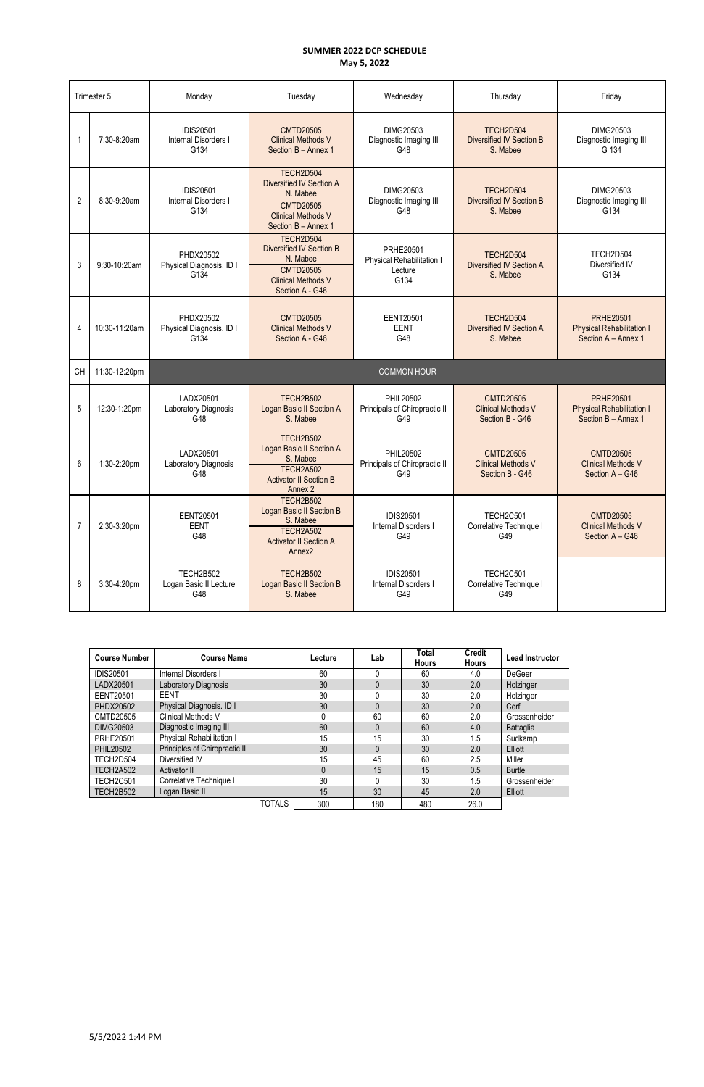|                | Trimester 5   | Monday                                           | Tuesday                                                                                                                             | Wednesday                                                        | Thursday                                                         | Friday                                                                      |
|----------------|---------------|--------------------------------------------------|-------------------------------------------------------------------------------------------------------------------------------------|------------------------------------------------------------------|------------------------------------------------------------------|-----------------------------------------------------------------------------|
| 1              | 7:30-8:20am   | <b>IDIS20501</b><br>Internal Disorders I<br>G134 | <b>CMTD20505</b><br><b>Clinical Methods V</b><br>Section B - Annex 1                                                                | DIMG20503<br>Diagnostic Imaging III<br>G48                       | TECH2D504<br><b>Diversified IV Section B</b><br>S. Mabee         | DIMG20503<br>Diagnostic Imaging III<br>G 134                                |
| $\overline{2}$ | 8:30-9:20am   | <b>IDIS20501</b><br>Internal Disorders I<br>G134 | TECH2D504<br><b>Diversified IV Section A</b><br>N. Mabee<br><b>CMTD20505</b><br><b>Clinical Methods V</b><br>Section B - Annex 1    | DIMG20503<br>Diagnostic Imaging III<br>G48                       | TECH2D504<br><b>Diversified IV Section B</b><br>S. Mabee         | DIMG20503<br>Diagnostic Imaging III<br>G134                                 |
| 3              | 9:30-10:20am  | PHDX20502<br>Physical Diagnosis. ID I<br>G134    | TECH2D504<br><b>Diversified IV Section B</b><br>N. Mabee<br><b>CMTD20505</b><br><b>Clinical Methods V</b><br>Section A - G46        | <b>PRHE20501</b><br>Physical Rehabilitation I<br>Lecture<br>G134 | TECH2D504<br>Diversified IV Section A<br>S. Mabee                | TECH2D504<br>Diversified IV<br>G134                                         |
| 4              | 10:30-11:20am | PHDX20502<br>Physical Diagnosis. ID I<br>G134    | <b>CMTD20505</b><br><b>Clinical Methods V</b><br>Section A - G46                                                                    | <b>EENT20501</b><br><b>EENT</b><br>G48                           | TECH2D504<br>Diversified IV Section A<br>S. Mabee                | <b>PRHE20501</b><br><b>Physical Rehabilitation I</b><br>Section A - Annex 1 |
| <b>CH</b>      | 11:30-12:20pm |                                                  |                                                                                                                                     | <b>COMMON HOUR</b>                                               |                                                                  |                                                                             |
| 5              | 12:30-1:20pm  | LADX20501<br>Laboratory Diagnosis<br>G48         | <b>TECH2B502</b><br>Logan Basic II Section A<br>S. Mabee                                                                            | PHIL20502<br>Principals of Chiropractic II<br>G49                | <b>CMTD20505</b><br><b>Clinical Methods V</b><br>Section B - G46 | <b>PRHE20501</b><br><b>Physical Rehabilitation I</b><br>Section B - Annex 1 |
| 6              | 1:30-2:20pm   | LADX20501<br>Laboratory Diagnosis<br>G48         | <b>TECH2B502</b><br>Logan Basic II Section A<br>S. Mabee<br><b>TECH2A502</b><br><b>Activator II Section B</b><br>Annex 2            | <b>PHIL20502</b><br>Principals of Chiropractic II<br>G49         | <b>CMTD20505</b><br><b>Clinical Methods V</b><br>Section B - G46 | <b>CMTD20505</b><br><b>Clinical Methods V</b><br>Section A - G46            |
| $\overline{7}$ | 2:30-3:20pm   | <b>EENT20501</b><br><b>EENT</b><br>G48           | <b>TECH2B502</b><br>Logan Basic II Section B<br>S. Mabee<br><b>TECH2A502</b><br><b>Activator II Section A</b><br>Annex <sub>2</sub> | <b>IDIS20501</b><br>Internal Disorders I<br>G49                  | <b>TECH2C501</b><br>Correlative Technique I<br>G49               | <b>CMTD20505</b><br><b>Clinical Methods V</b><br>Section A - G46            |
| 8              | 3:30-4:20pm   | TECH2B502<br>Logan Basic II Lecture<br>G48       | <b>TECH2B502</b><br><b>Logan Basic II Section B</b><br>S. Mabee                                                                     | <b>IDIS20501</b><br><b>Internal Disorders I</b><br>G49           | <b>TECH2C501</b><br>Correlative Technique I<br>G49               |                                                                             |

| <b>Course Number</b> | <b>Course Name</b>            | Lecture  | Lab | Total<br><b>Hours</b> | <b>Credit</b><br><b>Hours</b> | <b>Lead Instructor</b> |
|----------------------|-------------------------------|----------|-----|-----------------------|-------------------------------|------------------------|
| <b>IDIS20501</b>     | Internal Disorders I          | 60       |     | 60                    | 4.0                           | <b>DeGeer</b>          |
| LADX20501            | Laboratory Diagnosis          | 30       |     | 30                    | 2.0                           | Holzinger              |
| <b>EENT20501</b>     | EENT                          | 30       |     | 30                    | 2.0                           | Holzinger              |
| PHDX20502            | Physical Diagnosis. ID I      | 30       |     | 30                    | 2.0                           | Cerf                   |
| CMTD20505            | Clinical Methods V            | 0        | 60  | 60                    | 2.0                           | Grossenheider          |
| DIMG20503            | Diagnostic Imaging III        | 60       |     | 60                    | 4.0                           | Battaglia              |
| <b>PRHE20501</b>     | Physical Rehabilitation I     | 15       | 15  | 30                    | 1.5                           | Sudkamp                |
| <b>PHIL20502</b>     | Principles of Chiropractic II | 30       |     | 30                    | 2.0                           | Elliott                |
| TECH2D504            | Diversified IV                | 15       | 45  | 60                    | 2.5                           | Miller                 |
| <b>TECH2A502</b>     | Activator II                  | $\Omega$ | 15  | 15                    | 0.5                           | <b>Burtle</b>          |
| <b>TECH2C501</b>     | Correlative Technique I       | 30       |     | 30                    | 1.5                           | Grossenheider          |
| TECH2B502            | Logan Basic II                | 15       | 30  | 45                    | 2.0                           | Elliott                |

| TOTALS<br>300 | 180 | 480 | 26.0 |
|---------------|-----|-----|------|
|---------------|-----|-----|------|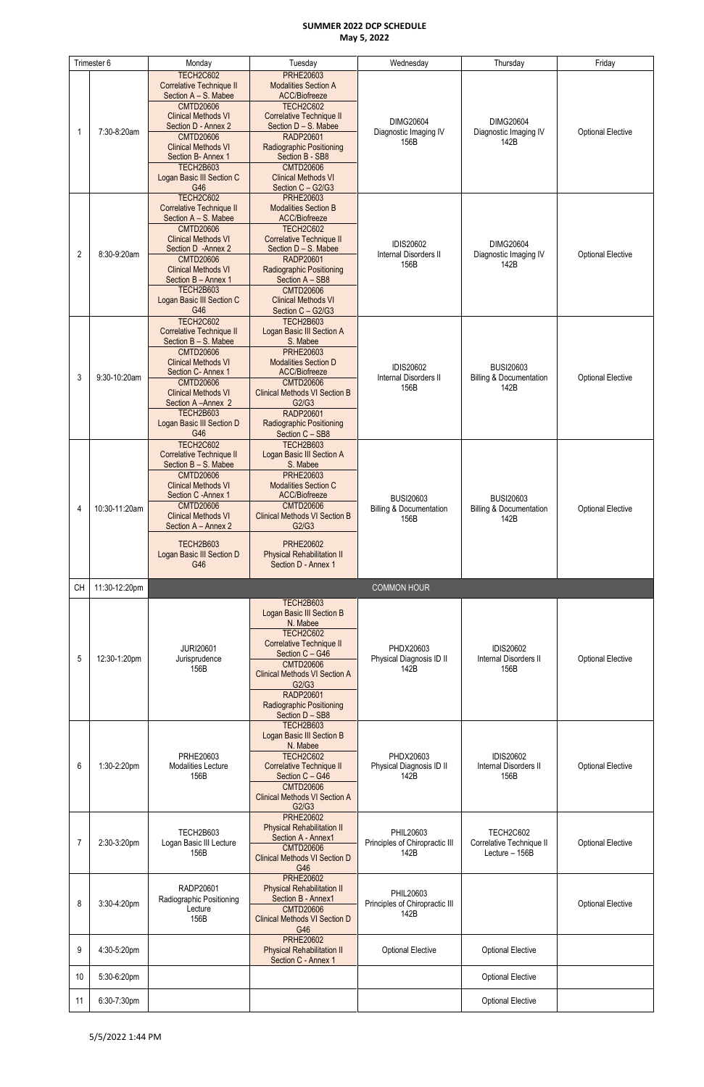|                | Trimester 6   | Monday                          | Tuesday                              | Wednesday                          | Thursday                           | Friday                   |
|----------------|---------------|---------------------------------|--------------------------------------|------------------------------------|------------------------------------|--------------------------|
|                |               | <b>TECH2C602</b>                | <b>PRHE20603</b>                     |                                    |                                    |                          |
|                |               | <b>Correlative Technique II</b> | <b>Modalities Section A</b>          |                                    |                                    |                          |
|                |               |                                 |                                      |                                    |                                    |                          |
|                |               | Section A - S. Mabee            | ACC/Biofreeze                        |                                    |                                    |                          |
|                |               | <b>CMTD20606</b>                | <b>TECH2C602</b>                     |                                    |                                    |                          |
|                |               | <b>Clinical Methods VI</b>      | <b>Correlative Technique II</b>      | <b>DIMG20604</b>                   | <b>DIMG20604</b>                   |                          |
|                |               | Section D - Annex 2             | Section D - S. Mabee                 |                                    |                                    |                          |
| -1             | 7:30-8:20am   | <b>CMTD20606</b>                | <b>RADP20601</b>                     | Diagnostic Imaging IV              | Diagnostic Imaging IV              | <b>Optional Elective</b> |
|                |               | <b>Clinical Methods VI</b>      | <b>Radiographic Positioning</b>      | 156B                               | 142B                               |                          |
|                |               | Section B- Annex 1              |                                      |                                    |                                    |                          |
|                |               |                                 | Section B - SB8                      |                                    |                                    |                          |
|                |               | <b>TECH2B603</b>                | <b>CMTD20606</b>                     |                                    |                                    |                          |
|                |               | Logan Basic III Section C       | <b>Clinical Methods VI</b>           |                                    |                                    |                          |
|                |               | G46                             | Section C - G2/G3                    |                                    |                                    |                          |
|                |               | <b>TECH2C602</b>                | <b>PRHE20603</b>                     |                                    |                                    |                          |
|                |               | <b>Correlative Technique II</b> | <b>Modalities Section B</b>          |                                    |                                    |                          |
|                |               | Section A - S. Mabee            | ACC/Biofreeze                        |                                    |                                    |                          |
|                |               |                                 |                                      |                                    |                                    |                          |
|                |               | <b>CMTD20606</b>                | TECH2C602                            |                                    |                                    |                          |
|                |               | <b>Clinical Methods VI</b>      | <b>Correlative Technique II</b>      | <b>IDIS20602</b>                   | <b>DIMG20604</b>                   |                          |
| $\overline{2}$ | 8:30-9:20am   | Section D - Annex 2             | Section D - S. Mabee                 | Internal Disorders II              | Diagnostic Imaging IV              | <b>Optional Elective</b> |
|                |               | <b>CMTD20606</b>                | <b>RADP20601</b>                     | 156B                               | 142B                               |                          |
|                |               | <b>Clinical Methods VI</b>      | Radiographic Positioning             |                                    |                                    |                          |
|                |               | Section B - Annex 1             | Section A - SB8                      |                                    |                                    |                          |
|                |               | <b>TECH2B603</b>                | <b>CMTD20606</b>                     |                                    |                                    |                          |
|                |               | Logan Basic III Section C       | <b>Clinical Methods VI</b>           |                                    |                                    |                          |
|                |               | G46                             |                                      |                                    |                                    |                          |
|                |               |                                 | Section C - G2/G3                    |                                    |                                    |                          |
|                |               | <b>TECH2C602</b>                | <b>TECH2B603</b>                     |                                    |                                    |                          |
|                |               | <b>Correlative Technique II</b> | Logan Basic III Section A            |                                    |                                    |                          |
|                |               | Section B - S. Mabee            | S. Mabee                             |                                    |                                    |                          |
|                |               | <b>CMTD20606</b>                | <b>PRHE20603</b>                     |                                    |                                    |                          |
|                |               | <b>Clinical Methods VI</b>      | <b>Modalities Section D</b>          |                                    |                                    |                          |
|                |               | Section C- Annex 1              | <b>ACC/Biofreeze</b>                 | <b>IDIS20602</b>                   | <b>BUSI20603</b>                   |                          |
| 3              | 9:30-10:20am  | <b>CMTD20606</b>                | <b>CMTD20606</b>                     | Internal Disorders II              | <b>Billing &amp; Documentation</b> | <b>Optional Elective</b> |
|                |               |                                 |                                      | 156B                               | 142B                               |                          |
|                |               | <b>Clinical Methods VI</b>      | <b>Clinical Methods VI Section B</b> |                                    |                                    |                          |
|                |               | Section A-Annex 2               | G2/G3                                |                                    |                                    |                          |
|                |               | TECH2B603                       | <b>RADP20601</b>                     |                                    |                                    |                          |
|                |               | Logan Basic III Section D       | <b>Radiographic Positioning</b>      |                                    |                                    |                          |
|                |               | G46                             | Section C - SB8                      |                                    |                                    |                          |
|                |               | <b>TECH2C602</b>                | <b>TECH2B603</b>                     |                                    |                                    |                          |
|                |               | <b>Correlative Technique II</b> |                                      |                                    |                                    |                          |
|                |               |                                 | Logan Basic III Section A            |                                    |                                    |                          |
|                |               | Section B - S. Mabee            | S. Mabee                             |                                    |                                    |                          |
|                |               | <b>CMTD20606</b>                | <b>PRHE20603</b>                     |                                    |                                    |                          |
|                |               | <b>Clinical Methods VI</b>      | <b>Modalities Section C</b>          |                                    |                                    |                          |
|                |               | Section C - Annex 1             | <b>ACC/Biofreeze</b>                 | <b>BUSI20603</b>                   | <b>BUSI20603</b>                   |                          |
|                |               | <b>CMTD20606</b>                | <b>CMTD20606</b>                     |                                    |                                    |                          |
| 4              | 10:30-11:20am | <b>Clinical Methods VI</b>      | <b>Clinical Methods VI Section B</b> | <b>Billing &amp; Documentation</b> | <b>Billing &amp; Documentation</b> | <b>Optional Elective</b> |
|                |               | Section A - Annex 2             | G2/G3                                | 156B                               | 142B                               |                          |
|                |               |                                 |                                      |                                    |                                    |                          |
|                |               | <b>TECH2B603</b>                | <b>PRHE20602</b>                     |                                    |                                    |                          |
|                |               |                                 |                                      |                                    |                                    |                          |
|                |               |                                 |                                      |                                    |                                    |                          |
|                |               | Logan Basic III Section D       | <b>Physical Rehabilitation II</b>    |                                    |                                    |                          |
|                |               | G46                             | Section D - Annex 1                  |                                    |                                    |                          |
|                |               |                                 |                                      |                                    |                                    |                          |
| <b>CH</b>      | 11:30-12:20pm |                                 |                                      | <b>COMMON HOUR</b>                 |                                    |                          |
|                |               |                                 |                                      |                                    |                                    |                          |
|                |               |                                 | <b>TECH2B603</b>                     |                                    |                                    |                          |
|                |               |                                 | <b>Logan Basic III Section B</b>     |                                    |                                    |                          |
|                |               |                                 | N. Mabee                             |                                    |                                    |                          |
|                |               |                                 | <b>TECH2C602</b>                     |                                    |                                    |                          |
|                |               |                                 |                                      |                                    |                                    |                          |
|                |               | <b>JURI20601</b>                | Correlative Technique II             | PHDX20603                          | <b>IDIS20602</b>                   |                          |
| 5              | 12:30-1:20pm  | Jurisprudence                   | Section C - G46                      | Physical Diagnosis ID II           | Internal Disorders II              | <b>Optional Elective</b> |
|                |               | 156B                            | <b>CMTD20606</b>                     | 142B                               | 156B                               |                          |
|                |               |                                 | <b>Clinical Methods VI Section A</b> |                                    |                                    |                          |
|                |               |                                 | G2/G3                                |                                    |                                    |                          |
|                |               |                                 | <b>RADP20601</b>                     |                                    |                                    |                          |
|                |               |                                 | <b>Radiographic Positioning</b>      |                                    |                                    |                          |
|                |               |                                 | Section D - SB8                      |                                    |                                    |                          |
|                |               |                                 | <b>TECH2B603</b>                     |                                    |                                    |                          |
|                |               |                                 | Logan Basic III Section B            |                                    |                                    |                          |
|                |               |                                 | N. Mabee                             |                                    |                                    |                          |
|                |               | PRHE20603                       | <b>TECH2C602</b>                     | PHDX20603                          | <b>IDIS20602</b>                   |                          |
| 6              |               |                                 |                                      |                                    |                                    |                          |
|                | 1:30-2:20pm   | Modalities Lecture              | <b>Correlative Technique II</b>      | Physical Diagnosis ID II           | Internal Disorders II              | <b>Optional Elective</b> |
|                |               | 156B                            | Section C - G46                      | 142B                               | 156B                               |                          |
|                |               |                                 | <b>CMTD20606</b>                     |                                    |                                    |                          |
|                |               |                                 | <b>Clinical Methods VI Section A</b> |                                    |                                    |                          |
|                |               |                                 | G2/G3                                |                                    |                                    |                          |
|                |               |                                 | <b>PRHE20602</b>                     |                                    |                                    |                          |
|                |               |                                 | <b>Physical Rehabilitation II</b>    |                                    |                                    |                          |
|                |               | TECH2B603                       | Section A - Annex1                   | PHIL20603                          | <b>TECH2C602</b>                   |                          |
| 7              | 2:30-3:20pm   | Logan Basic III Lecture         |                                      | Principles of Chiropractic III     | Correlative Technique II           | <b>Optional Elective</b> |
|                |               | 156B                            | <b>CMTD20606</b>                     | 142B                               | Lecture - 156B                     |                          |
|                |               |                                 | <b>Clinical Methods VI Section D</b> |                                    |                                    |                          |
|                |               |                                 | G46                                  |                                    |                                    |                          |
|                |               |                                 | <b>PRHE20602</b>                     |                                    |                                    |                          |
|                |               | RADP20601                       | <b>Physical Rehabilitation II</b>    |                                    |                                    |                          |
|                |               | Radiographic Positioning        | Section B - Annex1                   | PHIL20603                          |                                    |                          |
| 8              | 3:30-4:20pm   | Lecture                         | <b>CMTD20606</b>                     | Principles of Chiropractic III     |                                    | <b>Optional Elective</b> |
|                |               | 156B                            | <b>Clinical Methods VI Section D</b> | 142B                               |                                    |                          |
|                |               |                                 | G46                                  |                                    |                                    |                          |
|                |               |                                 |                                      |                                    |                                    |                          |
|                |               |                                 | <b>PRHE20602</b>                     |                                    |                                    |                          |
| 9              | 4:30-5:20pm   |                                 | <b>Physical Rehabilitation II</b>    | <b>Optional Elective</b>           | <b>Optional Elective</b>           |                          |
|                |               |                                 | Section C - Annex 1                  |                                    |                                    |                          |
|                |               |                                 |                                      |                                    |                                    |                          |
| 10             | 5:30-6:20pm   |                                 |                                      |                                    | <b>Optional Elective</b>           |                          |
| 11             | 6:30-7:30pm   |                                 |                                      |                                    | <b>Optional Elective</b>           |                          |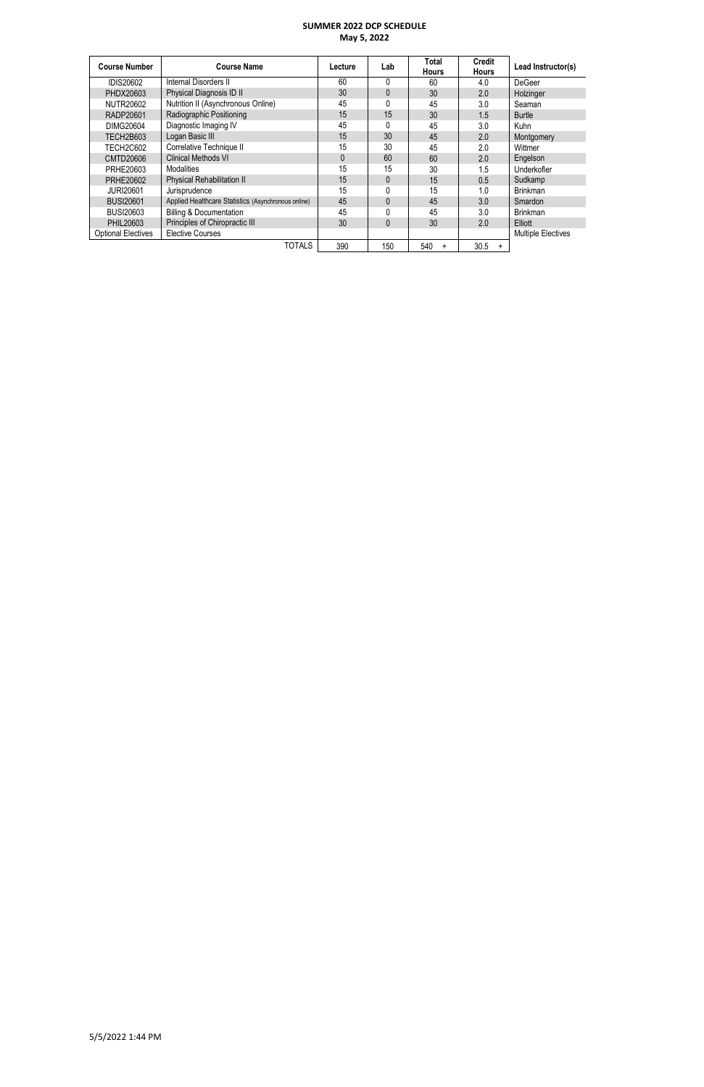| <b>Course Number</b>                        | <b>Course Name</b>                                  | Lecture | Lab             | Total<br><b>Hours</b> | <b>Credit</b><br><b>Hours</b> | Lead Instructor(s)        |
|---------------------------------------------|-----------------------------------------------------|---------|-----------------|-----------------------|-------------------------------|---------------------------|
| <b>IDIS20602</b>                            | Internal Disorders II                               | 60      | 0               | 60                    | 4.0                           | <b>DeGeer</b>             |
| PHDX20603                                   | Physical Diagnosis ID II                            | 30      | 0               | 30                    | 2.0                           | Holzinger                 |
| <b>NUTR20602</b>                            | Nutrition II (Asynchronous Online)                  | 45      | 0               | 45                    | 3.0                           | Seaman                    |
| RADP20601                                   | Radiographic Positioning                            | 15      | 15              | 30                    | 1.5                           | <b>Burtle</b>             |
| DIMG20604                                   | Diagnostic Imaging IV                               | 45      |                 | 45                    | 3.0                           | Kuhn                      |
| TECH2B603                                   | Logan Basic III                                     | 15      | 30 <sup>2</sup> | 45                    | 2.0                           | Montgomery                |
| <b>TECH2C602</b>                            | Correlative Technique II                            | 15      | 30              | 45                    | 2.0                           | Wittmer                   |
| CMTD20606                                   | Clinical Methods VI                                 | 0       | 60              | 60                    | 2.0                           | Engelson                  |
| PRHE20603                                   | <b>Modalities</b>                                   | 15      | 15              | 30                    | 1.5                           | Underkofler               |
| PRHE20602                                   | <b>Physical Rehabilitation II</b>                   | 15      | 0               | 15                    | 0.5                           | Sudkamp                   |
| <b>JURI20601</b>                            | Jurisprudence                                       | 15      | 0               | 15                    | 1.0                           | <b>Brinkman</b>           |
| <b>BUSI20601</b>                            | Applied Healthcare Statistics (Asynchronous online) |         | 0               | 45                    | 3.0                           | <b>Smardon</b>            |
| BUSI20603                                   | <b>Billing &amp; Documentation</b>                  |         |                 | 45                    | 3.0                           | <b>Brinkman</b>           |
| Principles of Chiropractic III<br>PHIL20603 |                                                     | 30      | $\Omega$        | 30                    | 2.0                           | Elliott                   |
| <b>Optional Electives</b>                   | <b>Elective Courses</b>                             |         |                 |                       |                               | <b>Multiple Electives</b> |
|                                             | TOTALS                                              | 390     | 150             | 540<br>$\ddot{}$      | 30.5<br>$\ddot{}$             |                           |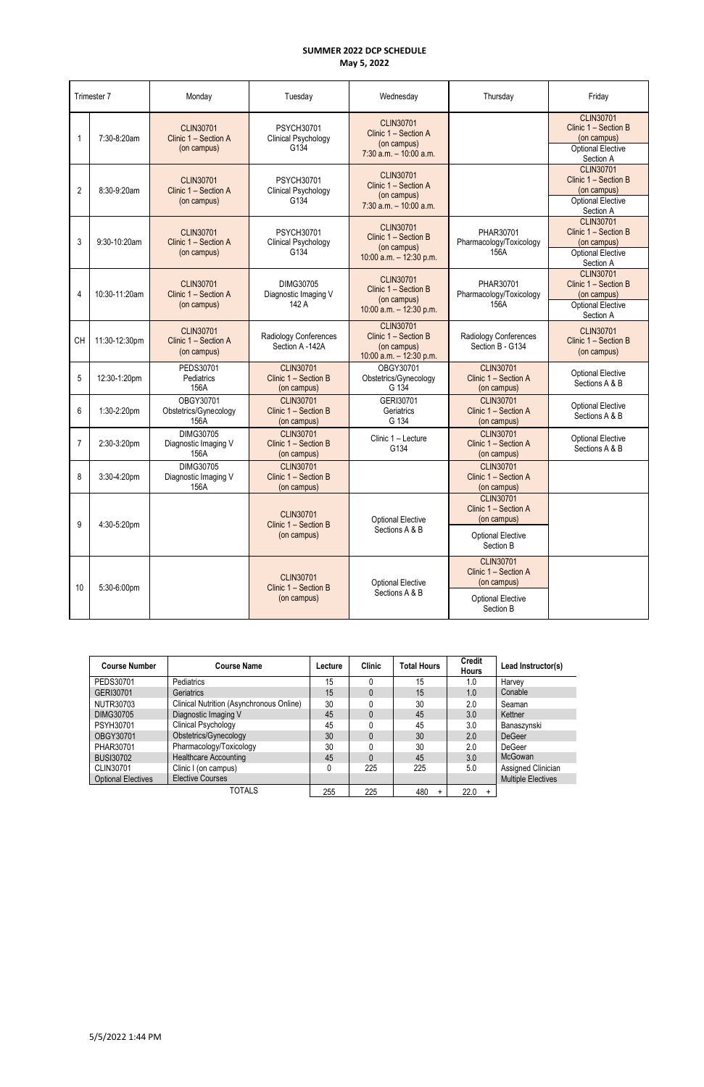| Trimester 7    |               | Monday                                                  | Tuesday                                                 | Wednesday                                                                            | Thursday                                                                                         | Friday                                                                                           |
|----------------|---------------|---------------------------------------------------------|---------------------------------------------------------|--------------------------------------------------------------------------------------|--------------------------------------------------------------------------------------------------|--------------------------------------------------------------------------------------------------|
| 1              | 7:30-8:20am   | <b>CLIN30701</b><br>Clinic 1 - Section A<br>(on campus) | PSYCH30701<br>Clinical Psychology<br>G134               | <b>CLIN30701</b><br>Clinic 1 - Section A<br>(on campus)<br>$7:30$ a.m. $-10:00$ a.m. |                                                                                                  | <b>CLIN30701</b><br>Clinic 1 - Section B<br>(on campus)<br><b>Optional Elective</b><br>Section A |
| $\overline{2}$ | 8:30-9:20am   | <b>CLIN30701</b><br>Clinic 1 - Section A<br>(on campus) | <b>PSYCH30701</b><br>Clinical Psychology<br>G134        | <b>CLIN30701</b><br>Clinic 1 - Section A<br>(on campus)<br>$7:30$ a.m. $-10:00$ a.m. |                                                                                                  | <b>CLIN30701</b><br>Clinic 1 - Section B<br>(on campus)<br><b>Optional Elective</b><br>Section A |
| 3              | 9:30-10:20am  | <b>CLIN30701</b><br>Clinic 1 - Section A<br>(on campus) | <b>PSYCH30701</b><br>Clinical Psychology<br>G134        | <b>CLIN30701</b><br>Clinic 1 - Section B<br>(on campus)<br>10:00 a.m. $-$ 12:30 p.m. | PHAR30701<br>Pharmacology/Toxicology<br>156A                                                     | <b>CLIN30701</b><br>Clinic 1 - Section B<br>(on campus)<br><b>Optional Elective</b><br>Section A |
| 4              | 10:30-11:20am | <b>CLIN30701</b><br>Clinic 1 - Section A<br>(on campus) | DIMG30705<br>Diagnostic Imaging V<br>142 A              | <b>CLIN30701</b><br>Clinic 1 - Section B<br>(on campus)<br>10:00 a.m. $-$ 12:30 p.m. | PHAR30701<br>Pharmacology/Toxicology<br>156A                                                     | <b>CLIN30701</b><br>Clinic 1 - Section B<br>(on campus)<br><b>Optional Elective</b><br>Section A |
| CH             | 11:30-12:30pm | <b>CLIN30701</b><br>Clinic 1 - Section A<br>(on campus) | Radiology Conferences<br>Section A -142A                | <b>CLIN30701</b><br>Clinic 1 - Section B<br>(on campus)<br>10:00 a.m. $-$ 12:30 p.m. | Radiology Conferences<br>Section B - G134                                                        | <b>CLIN30701</b><br>Clinic 1 - Section B<br>(on campus)                                          |
| 5              | 12:30-1:20pm  | PEDS30701<br>Pediatrics<br>156A                         | <b>CLIN30701</b><br>Clinic 1 - Section B<br>(on campus) | OBGY30701<br>Obstetrics/Gynecology<br>G 134                                          | <b>CLIN30701</b><br>Clinic 1 - Section A<br>(on campus)                                          | <b>Optional Elective</b><br>Sections A & B                                                       |
| 6              | 1:30-2:20pm   | OBGY30701<br>Obstetrics/Gynecology<br>156A              | <b>CLIN30701</b><br>Clinic 1 - Section B<br>(on campus) | GERI30701<br>Geriatrics<br>G 134                                                     | <b>CLIN30701</b><br>Clinic 1 - Section A<br>(on campus)                                          | <b>Optional Elective</b><br>Sections A & B                                                       |
| $\overline{7}$ | 2:30-3:20pm   | DIMG30705<br>Diagnostic Imaging V<br>156A               | <b>CLIN30701</b><br>Clinic 1 - Section B<br>(on campus) | Clinic 1 - Lecture<br>G134                                                           | <b>CLIN30701</b><br>Clinic 1 - Section A<br>(on campus)                                          | <b>Optional Elective</b><br>Sections A & B                                                       |
| 8              | 3:30-4:20pm   | DIMG30705<br>Diagnostic Imaging V<br>156A               | <b>CLIN30701</b><br>Clinic 1 - Section B<br>(on campus) |                                                                                      | <b>CLIN30701</b><br>Clinic 1 - Section A<br>(on campus)                                          |                                                                                                  |
| 9              | 4:30-5:20pm   |                                                         | <b>CLIN30701</b><br>Clinic 1 - Section B<br>(on campus) | <b>Optional Elective</b><br>Sections A & B                                           | <b>CLIN30701</b><br>Clinic 1 - Section A<br>(on campus)<br><b>Optional Elective</b><br>Section B |                                                                                                  |
| 10             | 5:30-6:00pm   |                                                         | <b>CLIN30701</b><br>Clinic 1 - Section B<br>(on campus) | <b>Optional Elective</b><br>Sections A & B                                           | <b>CLIN30701</b><br>Clinic 1 - Section A<br>(on campus)<br><b>Optional Elective</b><br>Section B |                                                                                                  |

| <b>Course Number</b><br><b>Course Name</b> |                                          | Lecture | <b>Clinic</b> | <b>Total Hours</b> | <b>Credit</b><br><b>Hours</b> | Lead Instructor(s)        |
|--------------------------------------------|------------------------------------------|---------|---------------|--------------------|-------------------------------|---------------------------|
| PEDS30701                                  | Pediatrics                               | 15      |               | 15                 | 1.0                           | Harvey                    |
| GERI30701                                  | <b>Geriatrics</b>                        | 15      | 0             | 15                 | 1.0                           | Conable                   |
| NUTR30703                                  | Clinical Nutrition (Asynchronous Online) | 30      |               | 30                 | 2.0                           | Seaman                    |
| DIMG30705                                  | Diagnostic Imaging V                     | 45      | 0             | 45                 | 3.0                           | Kettner                   |
| <b>PSYH30701</b>                           | Clinical Psychology                      |         |               | 45                 | 3.0                           | Banaszynski               |
| OBGY30701                                  | Obstetrics/Gynecology                    | 30      | 0             | 30                 | 2.0                           | <b>DeGeer</b>             |
| PHAR30701                                  | Pharmacology/Toxicology                  | 30      |               | 30                 | 2.0                           | DeGeer                    |
| <b>BUSI30702</b>                           | <b>Healthcare Accounting</b>             | 45      | $\Omega$      | 45                 | 3.0                           | <b>McGowan</b>            |
| CLIN30701                                  | Clinic I (on campus)                     |         | 225           | 225                | 5.0                           | Assigned Clinician        |
| <b>Optional Electives</b>                  | <b>Elective Courses</b>                  |         |               |                    |                               | <b>Multiple Electives</b> |
|                                            | <b>TOTALS</b>                            | 255     | 225           | 480<br>$+$         | 22.0<br>$\ddot{}$             |                           |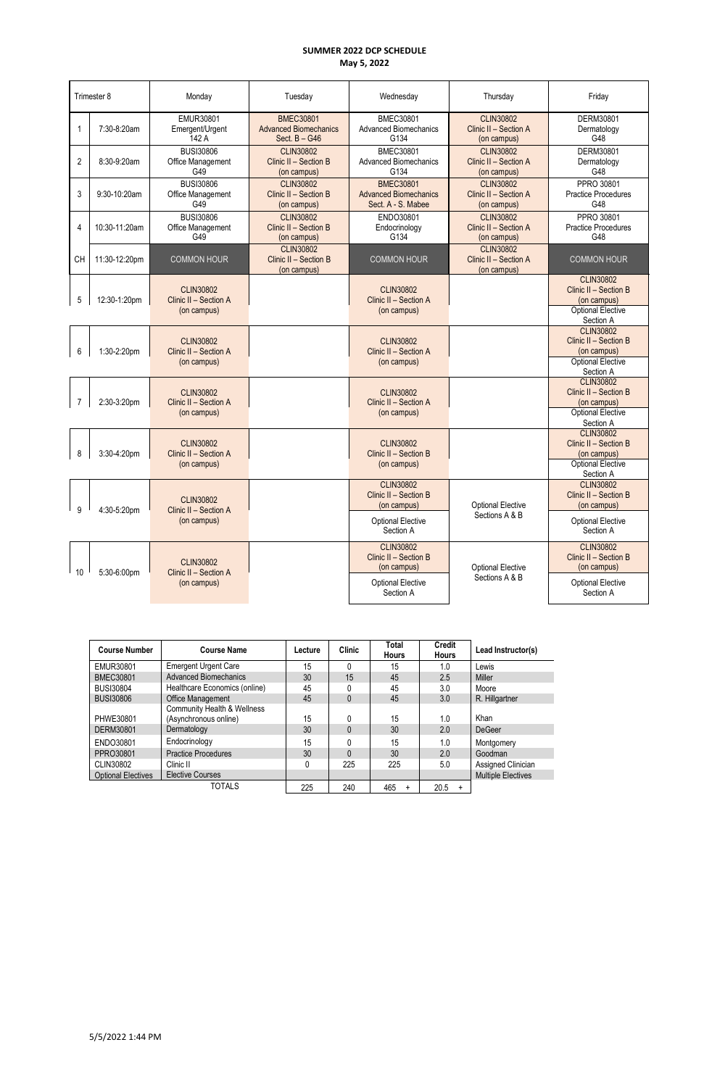| Trimester 8       |               | Monday                                                   | Tuesday                                                             | Wednesday<br>Thursday                                                  |                                                          | Friday                                                                                            |                                       |
|-------------------|---------------|----------------------------------------------------------|---------------------------------------------------------------------|------------------------------------------------------------------------|----------------------------------------------------------|---------------------------------------------------------------------------------------------------|---------------------------------------|
| -1                | 7:30-8:20am   | EMUR30801<br>Emergent/Urgent<br>142 A                    | <b>BMEC30801</b><br><b>Advanced Biomechanics</b><br>Sect. $B - G46$ | <b>BMEC30801</b><br><b>Advanced Biomechanics</b><br>G134               | <b>CLIN30802</b><br>Clinic II - Section A<br>(on campus) | DERM30801<br>Dermatology<br>G48                                                                   |                                       |
| $\overline{2}$    | 8:30-9:20am   | <b>BUSI30806</b><br>Office Management<br>G49             | <b>CLIN30802</b><br>Clinic II - Section B<br>(on campus)            | <b>BMEC30801</b><br><b>Advanced Biomechanics</b><br>G <sub>134</sub>   | <b>CLIN30802</b><br>Clinic II - Section A<br>(on campus) | DERM30801<br>Dermatology<br>G48                                                                   |                                       |
| 3                 | 9:30-10:20am  | <b>BUSI30806</b><br>Office Management<br>G49             | <b>CLIN30802</b><br>Clinic II - Section B<br>(on campus)            | <b>BMEC30801</b><br><b>Advanced Biomechanics</b><br>Sect. A - S. Mabee | <b>CLIN30802</b><br>Clinic II - Section A<br>(on campus) | PPRO 30801<br><b>Practice Procedures</b><br>G48                                                   |                                       |
| $\overline{4}$    | 10:30-11:20am | <b>BUSI30806</b><br>Office Management<br>G49             | <b>CLIN30802</b><br>Clinic II - Section B<br>(on campus)            | ENDO30801<br>Endocrinology<br>G134                                     | <b>CLIN30802</b><br>Clinic II - Section A<br>(on campus) | PPRO 30801<br><b>Practice Procedures</b><br>G48                                                   |                                       |
| <b>CH</b>         | 11:30-12:20pm | <b>COMMON HOUR</b>                                       | <b>CLIN30802</b><br>Clinic II - Section B<br>(on campus)            | <b>COMMON HOUR</b>                                                     | <b>CLIN30802</b><br>Clinic II - Section A<br>(on campus) | <b>COMMON HOUR</b>                                                                                |                                       |
| 5                 | 12:30-1:20pm  | <b>CLIN30802</b><br>Clinic II - Section A<br>(on campus) |                                                                     | <b>CLIN30802</b><br>Clinic II - Section A<br>(on campus)               |                                                          | <b>CLIN30802</b><br>Clinic II - Section B<br>(on campus)<br><b>Optional Elective</b>              |                                       |
| 6                 | 1:30-2:20pm   | <b>CLIN30802</b><br>Clinic II - Section A<br>(on campus) |                                                                     | <b>CLIN30802</b><br>Clinic II - Section A<br>(on campus)               |                                                          | Section A<br><b>CLIN30802</b><br>Clinic II - Section B<br>(on campus)<br><b>Optional Elective</b> |                                       |
| $\overline{7}$    | 2:30-3:20pm   | <b>CLIN30802</b><br>Clinic II - Section A<br>(on campus) |                                                                     | <b>CLIN30802</b><br>Clinic II - Section A<br>(on campus)               |                                                          | Section A<br><b>CLIN30802</b><br>Clinic II - Section B<br>(on campus)<br><b>Optional Elective</b> |                                       |
| 8                 | 3:30-4:20pm   | <b>CLIN30802</b><br>Clinic II - Section A<br>(on campus) |                                                                     | <b>CLIN30802</b><br>Clinic II - Section B<br>(on campus)               |                                                          | Section A<br><b>CLIN30802</b><br>Clinic II - Section B<br>(on campus)<br><b>Optional Elective</b> |                                       |
| 9                 |               | <b>CLIN30802</b><br>Clinic II - Section A                |                                                                     | <b>CLIN30802</b><br>Clinic II - Section B<br>(on campus)               | <b>Optional Elective</b>                                 | Section A<br><b>CLIN30802</b><br>Clinic II - Section B<br>(on campus)                             |                                       |
|                   | 4:30-5:20pm   | (on campus)                                              |                                                                     | <b>Optional Elective</b><br>Section A                                  | Sections A & B                                           | <b>Optional Elective</b><br>Section A                                                             |                                       |
|                   |               | <b>CLIN30802</b>                                         |                                                                     | <b>CLIN30802</b><br>Clinic II - Section B<br>(on campus)               | <b>Optional Elective</b>                                 | <b>CLIN30802</b><br>Clinic II - Section B<br>(on campus)                                          |                                       |
| 10<br>5:30-6:00pm |               | Clinic II - Section A<br>(on campus)                     |                                                                     |                                                                        | <b>Optional Elective</b><br>Section A                    | Sections A & B                                                                                    | <b>Optional Elective</b><br>Section A |

| <b>Course Number</b>      | <b>Course Name</b>                                   | Lecture | <b>Clinic</b> | <b>Total</b><br><b>Hours</b> | <b>Credit</b><br><b>Hours</b> | Lead Instructor(s)        |
|---------------------------|------------------------------------------------------|---------|---------------|------------------------------|-------------------------------|---------------------------|
| EMUR30801                 | <b>Emergent Urgent Care</b>                          | 15      | 0             | 15                           | 1.0                           | Lewis                     |
| <b>BMEC30801</b>          | <b>Advanced Biomechanics</b>                         | 30      | 15            | 45                           | 2.5                           | <b>Miller</b>             |
| <b>BUSI30804</b>          | Healthcare Economics (online)                        | 45      | 0             | 45                           | 3.0                           | Moore                     |
| <b>BUSI30806</b>          | Office Management                                    | 45      | 0             | 45                           | 3.0                           | R. Hillgartner            |
| PHWE30801                 | Community Health & Wellness<br>(Asynchronous online) | 15      | 0             | 15                           | 1.0                           | Khan                      |
| <b>DERM30801</b>          | Dermatology                                          | 30      | 0             | 30                           | 2.0                           | <b>DeGeer</b>             |
| ENDO30801                 | Endocrinology                                        | 15      | 0             | 15                           | 1.0                           | Montgomery                |
| PPRO30801                 | <b>Practice Procedures</b>                           | 30      | $\Omega$      | 30                           | 2.0                           | Goodman                   |
| CLIN30802                 | Clinic II                                            |         | 225           | 225                          | 5.0                           | Assigned Clinician        |
| <b>Optional Electives</b> | <b>Elective Courses</b>                              |         |               |                              |                               | <b>Multiple Electives</b> |
|                           | <b>TOTALS</b>                                        | 225     | 240           | 465<br>$\ddot{}$             | 20.5<br>$+$                   |                           |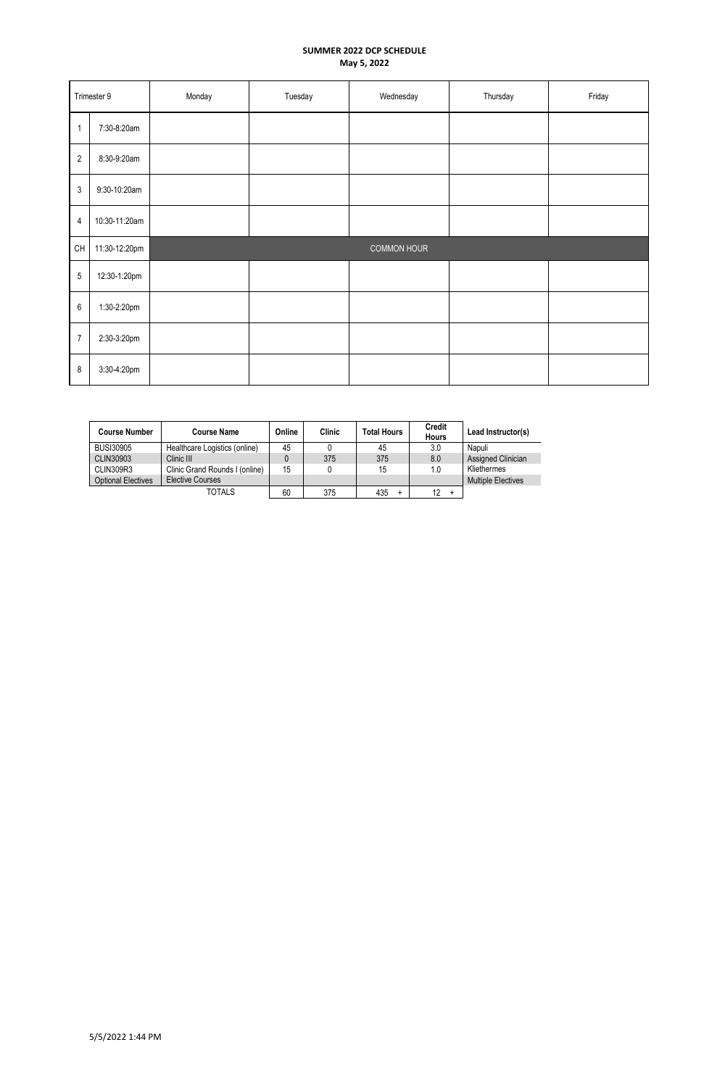| Trimester 9    |               | Monday | Tuesday | Wednesday          | Thursday | Friday |
|----------------|---------------|--------|---------|--------------------|----------|--------|
| $\overline{1}$ | 7:30-8:20am   |        |         |                    |          |        |
| $\sqrt{2}$     | 8:30-9:20am   |        |         |                    |          |        |
| $\sqrt{3}$     | 9:30-10:20am  |        |         |                    |          |        |
| $\overline{4}$ | 10:30-11:20am |        |         |                    |          |        |
| CH             | 11:30-12:20pm |        |         | <b>COMMON HOUR</b> |          |        |
| $\sqrt{5}$     | 12:30-1:20pm  |        |         |                    |          |        |
| $\,6\,$        | 1:30-2:20pm   |        |         |                    |          |        |
| $\overline{7}$ | 2:30-3:20pm   |        |         |                    |          |        |
| $\bf 8$        | 3:30-4:20pm   |        |         |                    |          |        |

| <b>Course Number</b>      | <b>Course Name</b>             | Online | Clinic | <b>Total Hours</b> | <b>Credit</b><br><b>Hours</b> | Lead Instructor(s)        |
|---------------------------|--------------------------------|--------|--------|--------------------|-------------------------------|---------------------------|
| <b>BUSI30905</b>          | Healthcare Logistics (online)  | 45     |        | 45                 | 3.0                           | Napuli                    |
| CLIN30903                 | Clinic III                     |        | 375    | 375                | 8.0                           | Assigned Clinician        |
| CLIN309R3                 | Clinic Grand Rounds I (online) | 15     |        | 15                 | 1.0                           | Kliethermes               |
| <b>Optional Electives</b> | <b>Elective Courses</b>        |        |        |                    |                               | <b>Multiple Electives</b> |
|                           | TOTALS                         | 60     | 375    | 435                | 12<br>÷                       |                           |